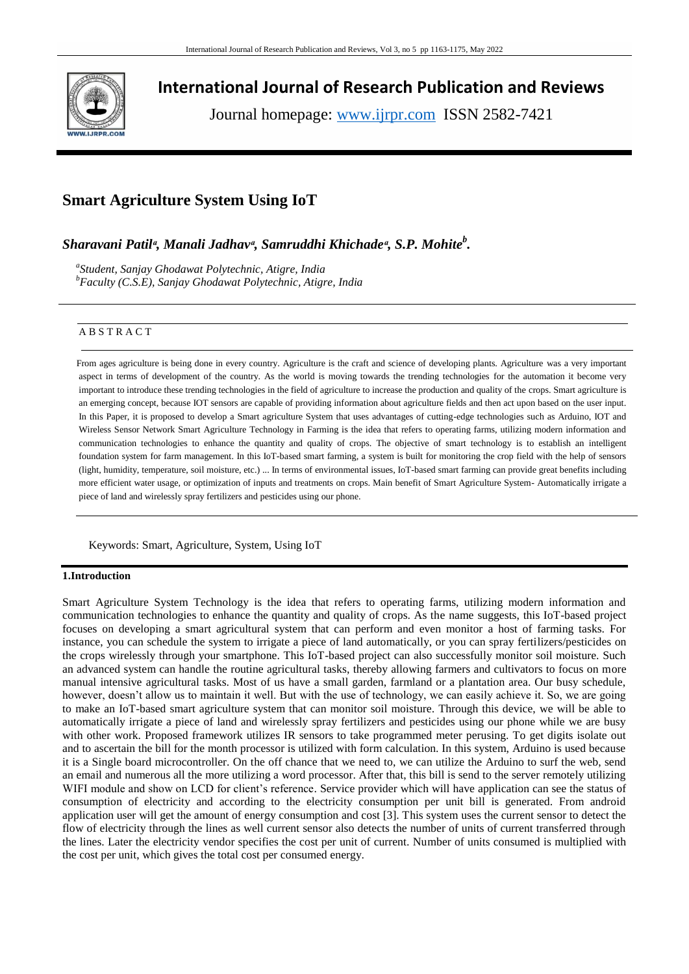

**International Journal of Research Publication and Reviews**

Journal homepage: www.ijrpr.com ISSN 2582-7421

# **Smart Agriculture System Using IoT**

*Sharavani Patilᵅ, Manali Jadhavᵅ, Samruddhi Khichadeᵅ, S.P. Mohite<sup>b</sup> .*

*a Student, Sanjay Ghodawat Polytechnic, Atigre, India <sup>b</sup>Faculty (C.S.E), Sanjay Ghodawat Polytechnic, Atigre, India*

# A B S T R A C T

 From ages agriculture is being done in every country. Agriculture is the craft and science of developing plants. Agriculture was a very important aspect in terms of development of the country. As the world is moving towards the trending technologies for the automation it become very important to introduce these trending technologies in the field of agriculture to increase the production and quality of the crops. Smart agriculture is an emerging concept, because IOT sensors are capable of providing information about agriculture fields and then act upon based on the user input. In this Paper, it is proposed to develop a Smart agriculture System that uses advantages of cutting-edge technologies such as Arduino, IOT and Wireless Sensor Network Smart Agriculture Technology in Farming is the idea that refers to operating farms, utilizing modern information and communication technologies to enhance the quantity and quality of crops. The objective of smart technology is to establish an intelligent foundation system for farm management. In this IoT-based smart farming, a system is built for monitoring the crop field with the help of sensors (light, humidity, temperature, soil moisture, etc.) ... In terms of environmental issues, IoT-based smart farming can provide great benefits including more efficient water usage, or optimization of inputs and treatments on crops. Main benefit of Smart Agriculture System- Automatically irrigate a piece of land and wirelessly spray fertilizers and pesticides using our phone.

Keywords: Smart, Agriculture, System, Using IoT

# **1.Introduction**

Smart Agriculture System Technology is the idea that refers to operating farms, utilizing modern information and communication technologies to enhance the quantity and quality of crops. As the name suggests, this IoT-based project focuses on developing a smart agricultural system that can perform and even monitor a host of farming tasks. For instance, you can schedule the system to irrigate a piece of land automatically, or you can spray fertilizers/pesticides on the crops wirelessly through your smartphone. This IoT-based project can also successfully monitor soil moisture. Such an advanced system can handle the routine agricultural tasks, thereby allowing farmers and cultivators to focus on more manual intensive agricultural tasks. Most of us have a small garden, farmland or a plantation area. Our busy schedule, however, doesn't allow us to maintain it well. But with the use of technology, we can easily achieve it. So, we are going to make an IoT-based smart agriculture system that can monitor soil moisture. Through this device, we will be able to automatically irrigate a piece of land and wirelessly spray fertilizers and pesticides using our phone while we are busy with other work. Proposed framework utilizes IR sensors to take programmed meter perusing. To get digits isolate out and to ascertain the bill for the month processor is utilized with form calculation. In this system, Arduino is used because it is a Single board microcontroller. On the off chance that we need to, we can utilize the Arduino to surf the web, send an email and numerous all the more utilizing a word processor. After that, this bill is send to the server remotely utilizing WIFI module and show on LCD for client's reference. Service provider which will have application can see the status of consumption of electricity and according to the electricity consumption per unit bill is generated. From android application user will get the amount of energy consumption and cost [3]. This system uses the current sensor to detect the flow of electricity through the lines as well current sensor also detects the number of units of current transferred through the lines. Later the electricity vendor specifies the cost per unit of current. Number of units consumed is multiplied with the cost per unit, which gives the total cost per consumed energy.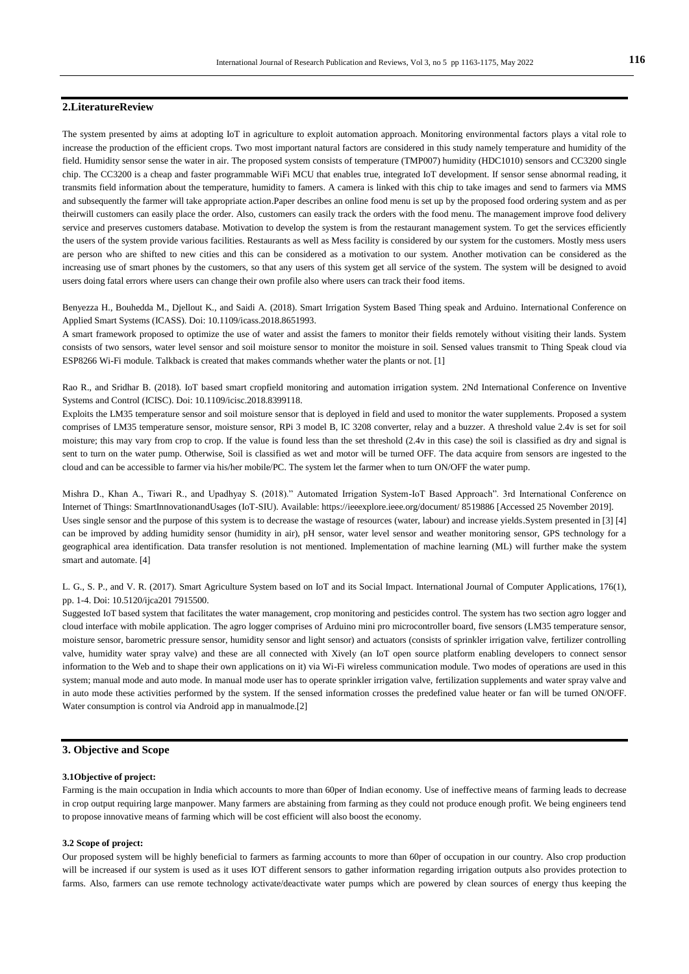# **2.LiteratureReview**

The system presented by aims at adopting IoT in agriculture to exploit automation approach. Monitoring environmental factors plays a vital role to increase the production of the efficient crops. Two most important natural factors are considered in this study namely temperature and humidity of the field. Humidity sensor sense the water in air. The proposed system consists of temperature (TMP007) humidity (HDC1010) sensors and CC3200 single chip. The CC3200 is a cheap and faster programmable WiFi MCU that enables true, integrated IoT development. If sensor sense abnormal reading, it transmits field information about the temperature, humidity to famers. A camera is linked with this chip to take images and send to farmers via MMS and subsequently the farmer will take appropriate action.Paper describes an online food menu is set up by the proposed food ordering system and as per theirwill customers can easily place the order. Also, customers can easily track the orders with the food menu. The management improve food delivery service and preserves customers database. Motivation to develop the system is from the restaurant management system. To get the services efficiently the users of the system provide various facilities. Restaurants as well as Mess facility is considered by our system for the customers. Mostly mess users are person who are shifted to new cities and this can be considered as a motivation to our system. Another motivation can be considered as the increasing use of smart phones by the customers, so that any users of this system get all service of the system. The system will be designed to avoid users doing fatal errors where users can change their own profile also where users can track their food items.

Benyezza H., Bouhedda M., Djellout K., and Saidi A. (2018). Smart Irrigation System Based Thing speak and Arduino. International Conference on Applied Smart Systems (ICASS). Doi: 10.1109/icass.2018.8651993.

A smart framework proposed to optimize the use of water and assist the famers to monitor their fields remotely without visiting their lands. System consists of two sensors, water level sensor and soil moisture sensor to monitor the moisture in soil. Sensed values transmit to Thing Speak cloud via ESP8266 Wi-Fi module. Talkback is created that makes commands whether water the plants or not. [1]

Rao R., and Sridhar B. (2018). IoT based smart cropfield monitoring and automation irrigation system. 2Nd International Conference on Inventive Systems and Control (ICISC). Doi: 10.1109/icisc.2018.8399118.

Exploits the LM35 temperature sensor and soil moisture sensor that is deployed in field and used to monitor the water supplements. Proposed a system comprises of LM35 temperature sensor, moisture sensor, RPi 3 model B, IC 3208 converter, relay and a buzzer. A threshold value 2.4v is set for soil moisture; this may vary from crop to crop. If the value is found less than the set threshold (2.4v in this case) the soil is classified as dry and signal is sent to turn on the water pump. Otherwise, Soil is classified as wet and motor will be turned OFF. The data acquire from sensors are ingested to the cloud and can be accessible to farmer via his/her mobile/PC. The system let the farmer when to turn ON/OFF the water pump.

Mishra D., Khan A., Tiwari R., and Upadhyay S. (2018)." Automated Irrigation System-IoT Based Approach". 3rd International Conference on Internet of Things: SmartInnovationandUsages (IoT-SIU). Available: https://ieeexplore.ieee.org/document/ 8519886 [Accessed 25 November 2019]. Uses single sensor and the purpose of this system is to decrease the wastage of resources (water, labour) and increase yields.System presented in [3] [4] can be improved by adding humidity sensor (humidity in air), pH sensor, water level sensor and weather monitoring sensor, GPS technology for a geographical area identification. Data transfer resolution is not mentioned. Implementation of machine learning (ML) will further make the system smart and automate. [4]

L. G., S. P., and V. R. (2017). Smart Agriculture System based on IoT and its Social Impact. International Journal of Computer Applications, 176(1), pp. 1-4. Doi: 10.5120/ijca201 7915500.

Suggested IoT based system that facilitates the water management, crop monitoring and pesticides control. The system has two section agro logger and cloud interface with mobile application. The agro logger comprises of Arduino mini pro microcontroller board, five sensors (LM35 temperature sensor, moisture sensor, barometric pressure sensor, humidity sensor and light sensor) and actuators (consists of sprinkler irrigation valve, fertilizer controlling valve, humidity water spray valve) and these are all connected with Xively (an IoT open source platform enabling developers to connect sensor information to the Web and to shape their own applications on it) via Wi-Fi wireless communication module. Two modes of operations are used in this system; manual mode and auto mode. In manual mode user has to operate sprinkler irrigation valve, fertilization supplements and water spray valve and in auto mode these activities performed by the system. If the sensed information crosses the predefined value heater or fan will be turned ON/OFF. Water consumption is control via Android app in manualmode.[2]

# **3. Objective and Scope**

#### **3.1Objective of project:**

Farming is the main occupation in India which accounts to more than 60per of Indian economy. Use of ineffective means of farming leads to decrease in crop output requiring large manpower. Many farmers are abstaining from farming as they could not produce enough profit. We being engineers tend to propose innovative means of farming which will be cost efficient will also boost the economy.

### **3.2 Scope of project:**

Our proposed system will be highly beneficial to farmers as farming accounts to more than 60per of occupation in our country. Also crop production will be increased if our system is used as it uses IOT different sensors to gather information regarding irrigation outputs also provides protection to farms. Also, farmers can use remote technology activate/deactivate water pumps which are powered by clean sources of energy thus keeping the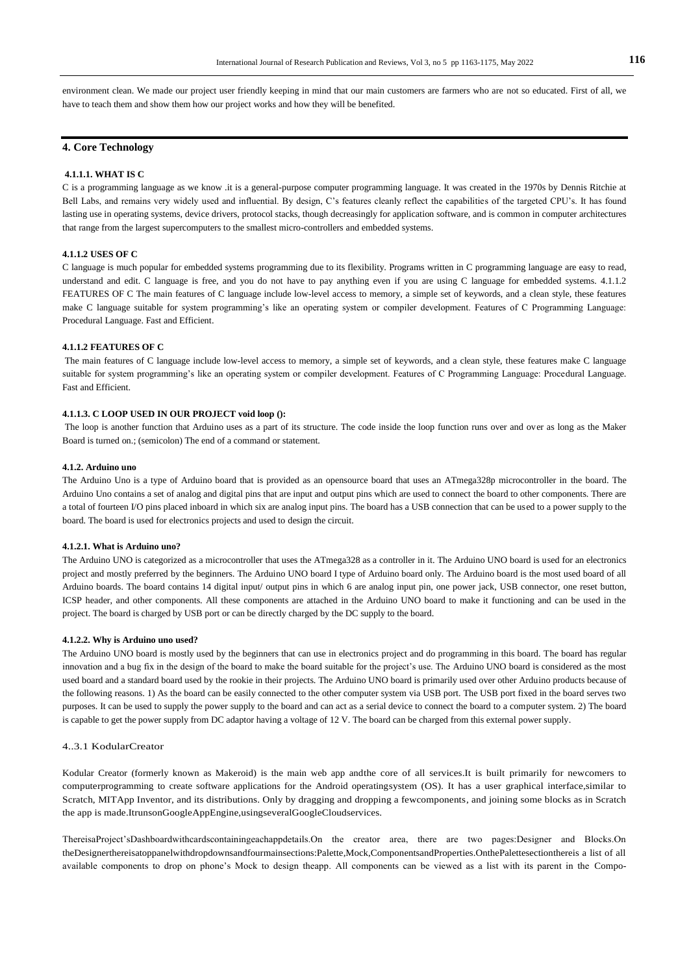environment clean. We made our project user friendly keeping in mind that our main customers are farmers who are not so educated. First of all, we have to teach them and show them how our project works and how they will be benefited.

# **4. Core Technology**

#### **4.1.1.1. WHAT IS C**

C is a programming language as we know .it is a general-purpose computer programming language. It was created in the 1970s by Dennis Ritchie at Bell Labs, and remains very widely used and influential. By design, C's features cleanly reflect the capabilities of the targeted CPU's. It has found lasting use in operating systems, device drivers, protocol stacks, though decreasingly for application software, and is common in computer architectures that range from the largest supercomputers to the smallest micro-controllers and embedded systems.

### **4.1.1.2 USES OF C**

C language is much popular for embedded systems programming due to its flexibility. Programs written in C programming language are easy to read, understand and edit. C language is free, and you do not have to pay anything even if you are using C language for embedded systems. 4.1.1.2 FEATURES OF C The main features of C language include low-level access to memory, a simple set of keywords, and a clean style, these features make C language suitable for system programming's like an operating system or compiler development. Features of C Programming Language: Procedural Language. Fast and Efficient.

#### **4.1.1.2 FEATURES OF C**

The main features of C language include low-level access to memory, a simple set of keywords, and a clean style, these features make C language suitable for system programming's like an operating system or compiler development. Features of C Programming Language: Procedural Language. Fast and Efficient.

### **4.1.1.3. C LOOP USED IN OUR PROJECT void loop ():**

The loop is another function that Arduino uses as a part of its structure. The code inside the loop function runs over and over as long as the Maker Board is turned on.; (semicolon) The end of a command or statement.

#### **4.1.2. Arduino uno**

The Arduino Uno is a type of Arduino board that is provided as an opensource board that uses an ATmega328p microcontroller in the board. The Arduino Uno contains a set of analog and digital pins that are input and output pins which are used to connect the board to other components. There are a total of fourteen I/O pins placed inboard in which six are analog input pins. The board has a USB connection that can be used to a power supply to the board. The board is used for electronics projects and used to design the circuit.

#### **4.1.2.1. What is Arduino uno?**

The Arduino UNO is categorized as a microcontroller that uses the ATmega328 as a controller in it. The Arduino UNO board is used for an electronics project and mostly preferred by the beginners. The Arduino UNO board I type of Arduino board only. The Arduino board is the most used board of all Arduino boards. The board contains 14 digital input/ output pins in which 6 are analog input pin, one power jack, USB connector, one reset button, ICSP header, and other components. All these components are attached in the Arduino UNO board to make it functioning and can be used in the project. The board is charged by USB port or can be directly charged by the DC supply to the board.

#### **4.1.2.2. Why is Arduino uno used?**

The Arduino UNO board is mostly used by the beginners that can use in electronics project and do programming in this board. The board has regular innovation and a bug fix in the design of the board to make the board suitable for the project's use. The Arduino UNO board is considered as the most used board and a standard board used by the rookie in their projects. The Arduino UNO board is primarily used over other Arduino products because of the following reasons. 1) As the board can be easily connected to the other computer system via USB port. The USB port fixed in the board serves two purposes. It can be used to supply the power supply to the board and can act as a serial device to connect the board to a computer system. 2) The board is capable to get the power supply from DC adaptor having a voltage of 12 V. The board can be charged from this external power supply.

#### 4..3.1 KodularCreator

Kodular Creator (formerly known as Makeroid) is the main web app andthe core of all services.It is built primarily for newcomers to computerprogramming to create software applications for the Android operatingsystem (OS). It has a user graphical interface,similar to Scratch, MITApp Inventor, and its distributions. Only by dragging and dropping a fewcomponents, and joining some blocks as in Scratch the app is made.ItrunsonGoogleAppEngine,usingseveralGoogleCloudservices.

ThereisaProject'sDashboardwithcardscontainingeachappdetails.On the creator area, there are two pages:Designer and Blocks.On theDesignerthereisatoppanelwithdropdownsandfourmainsections:Palette,Mock,ComponentsandProperties.OnthePalettesectionthereis a list of all available components to drop on phone's Mock to design theapp. All components can be viewed as a list with its parent in the Compo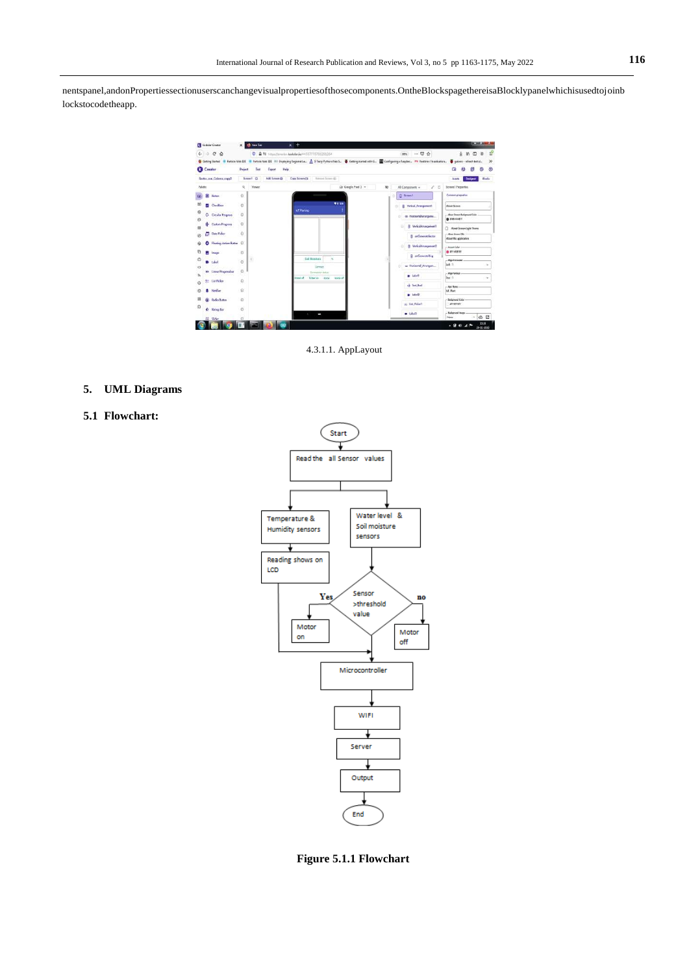nentspanel,andonPropertiessectionuserscanchangevisualpropertiesofthosecomponents.OntheBlockspagethereisaBlocklypanelwhichisusedtojoinb lockstocodetheapp.



4.3.1.1. AppLayout

# **5. UML Diagrams**

# **5.1 Flowchart:**



**Figure 5.1.1 Flowchart**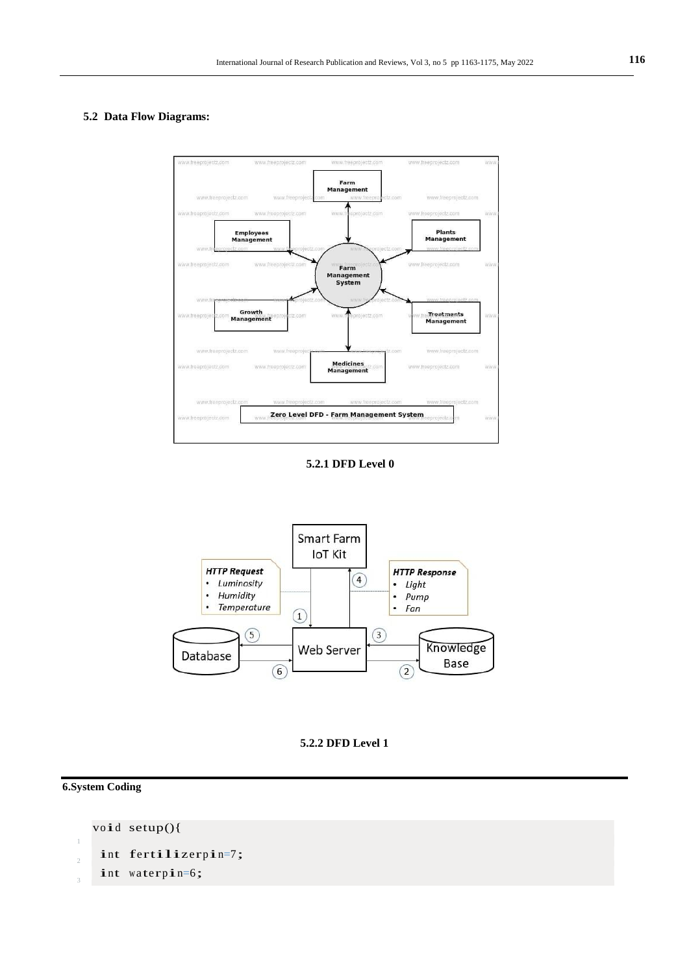# **5.2 Data Flow Diagrams:**









**6.System Coding**

1 void setup(){  $\overline{2}$ int fertilizerpin=7; 3 int waterpin=6;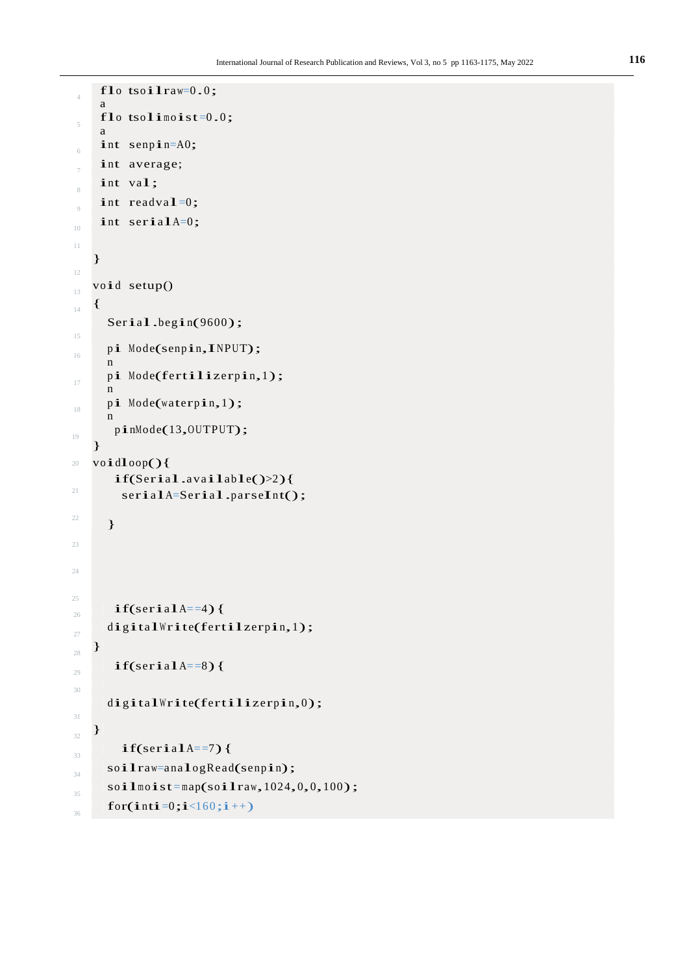```
4
     flo
tsoilraw=0.0;
     a
 5
     a<br>flo tsolimoist=0.0;
     a
6
    int senpin=A0;
     int average;
 8
    int val;
\overline{9}int readval=0;
10
    int serialA=0;
11
12
    }
13
   void setup()
14 {
15
      Serial.begin(9600);
16
      pi
Mode(senpin,INPUT);
      n
17
      n<br>pi Mode<mark>(fertilizerpin,</mark>1);
      n
18
      n<br>p<mark>i</mark> Mode(waterp<mark>i</mark>n,1);
      n
19
20
21
22
23
24
25
       pinMode(13,OUTPUT);
    }
   voidloop(){
       if(Serial.available()>2){ 
         serialA=Serial.parseInt();
      }
\int_{26} if(serialA==4){
27
      digitalWrite(fertilzerpin,1);
28
    }
29
       if(serialA==8){
30
31
      digitalWrite(fertilizerpin,0);
32
    }
33
         if(scria1A==7) {
34
      soilraw=analogRead(senpin);
35
      soilmoist = map(soiIraw,1024,0,0,100);36
      for(inti=0;i<160;i++)
```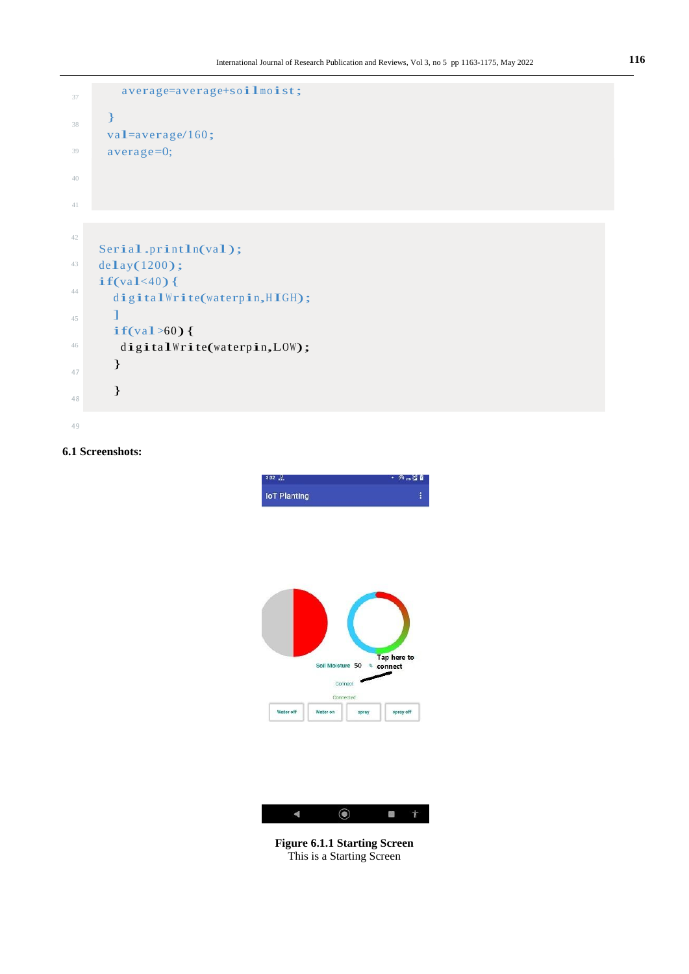```
37
38
39
40
41
        average=average+soilmoist;
      }
     val=average/160;
     average=0;
42
43
44
45
46
47
48
49
    Serial.println(val); 
    delay(1200);
    if(va1<40)digitalWrite(waterpin, HIGH);
      ]
      if(val>60){ 
       digitalWrite(waterpin,LOW);
       }
       }
```
# **6.1 Screenshots:**



**Figure 6.1.1 Starting Screen** This is a Starting Screen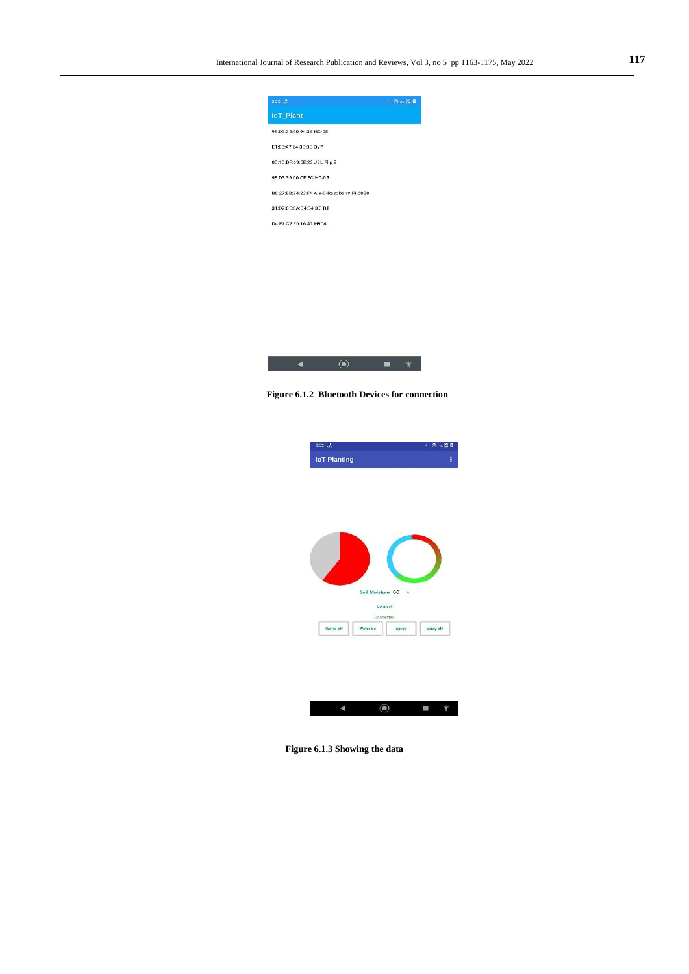



 **Figure 6.1.2 Bluetooth Devices for connection**







**Figure 6.1.3 Showing the data**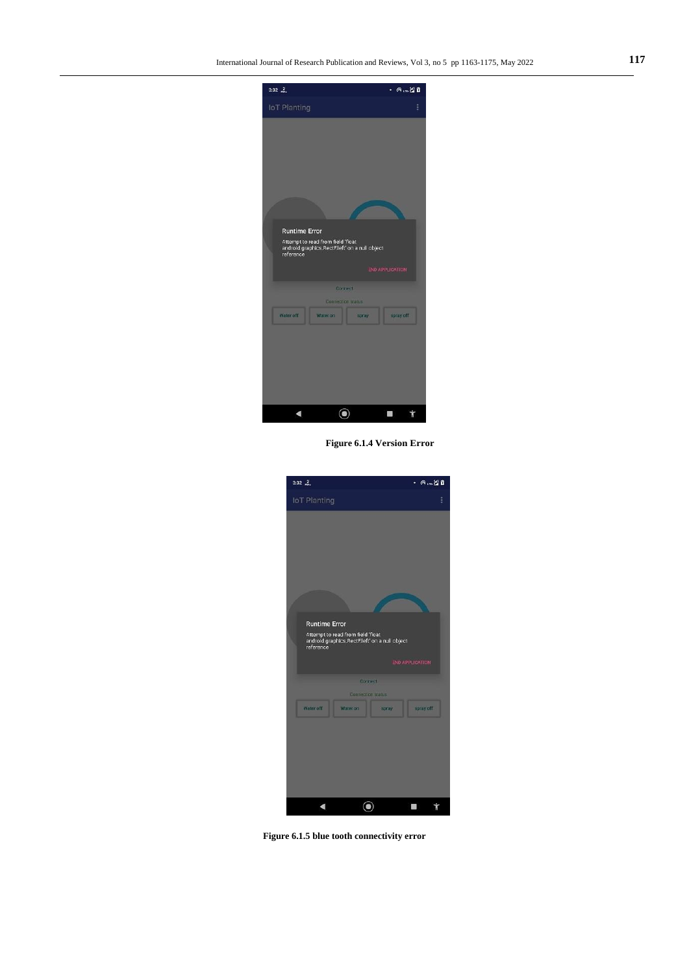

**Figure 6.1.4 Version Error**



**Figure 6.1.5 blue tooth connectivity error**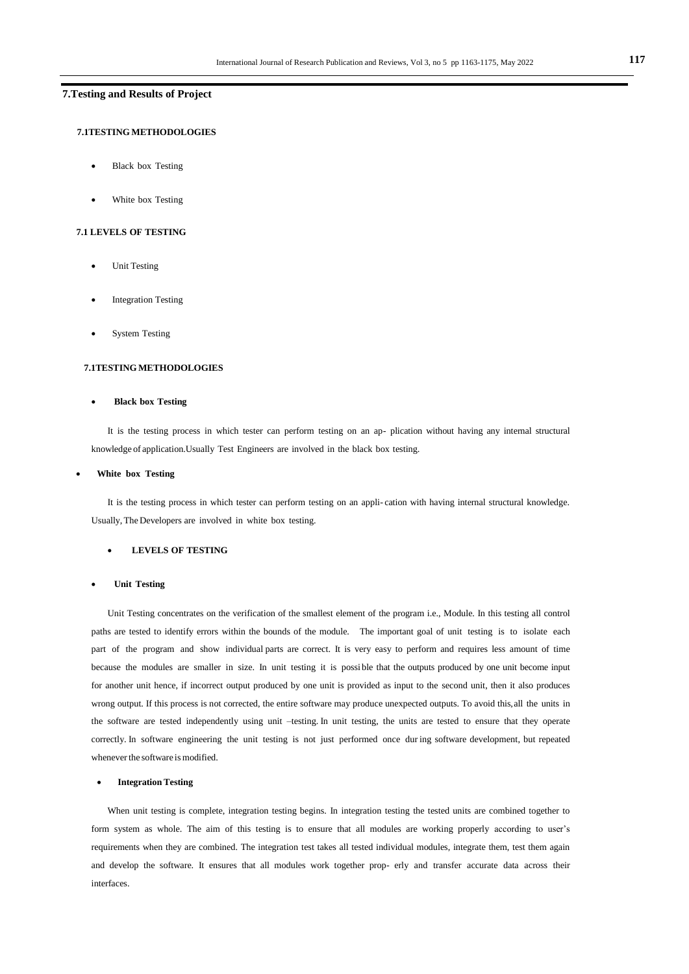# **7.Testing and Results of Project**

# **7.1TESTING METHODOLOGIES**

- Black box Testing
- White box Testing

# **7.1 LEVELS OF TESTING**

- Unit Testing
- Integration Testing
- System Testing

#### **7.1TESTING METHODOLOGIES**

#### **Black box Testing**

It is the testing process in which tester can perform testing on an ap- plication without having any internal structural knowledge of application.Usually Test Engineers are involved in the black box testing.

### **White box Testing**

It is the testing process in which tester can perform testing on an appli- cation with having internal structural knowledge. Usually, The Developers are involved in white box testing.

# **LEVELS OF TESTING**

#### **Unit Testing**

Unit Testing concentrates on the verification of the smallest element of the program i.e., Module. In this testing all control paths are tested to identify errors within the bounds of the module. The important goal of unit testing is to isolate each part of the program and show individual parts are correct. It is very easy to perform and requires less amount of time because the modules are smaller in size. In unit testing it is possi ble that the outputs produced by one unit become input for another unit hence, if incorrect output produced by one unit is provided as input to the second unit, then it also produces wrong output. If this process is not corrected, the entire software may produce unexpected outputs. To avoid this,all the units in the software are tested independently using unit –testing. In unit testing, the units are tested to ensure that they operate correctly. In software engineering the unit testing is not just performed once dur ing software development, but repeated whenever the software is modified.

#### **Integration Testing**

When unit testing is complete, integration testing begins. In integration testing the tested units are combined together to form system as whole. The aim of this testing is to ensure that all modules are working properly according to user's requirements when they are combined. The integration test takes all tested individual modules, integrate them, test them again and develop the software. It ensures that all modules work together prop- erly and transfer accurate data across their interfaces.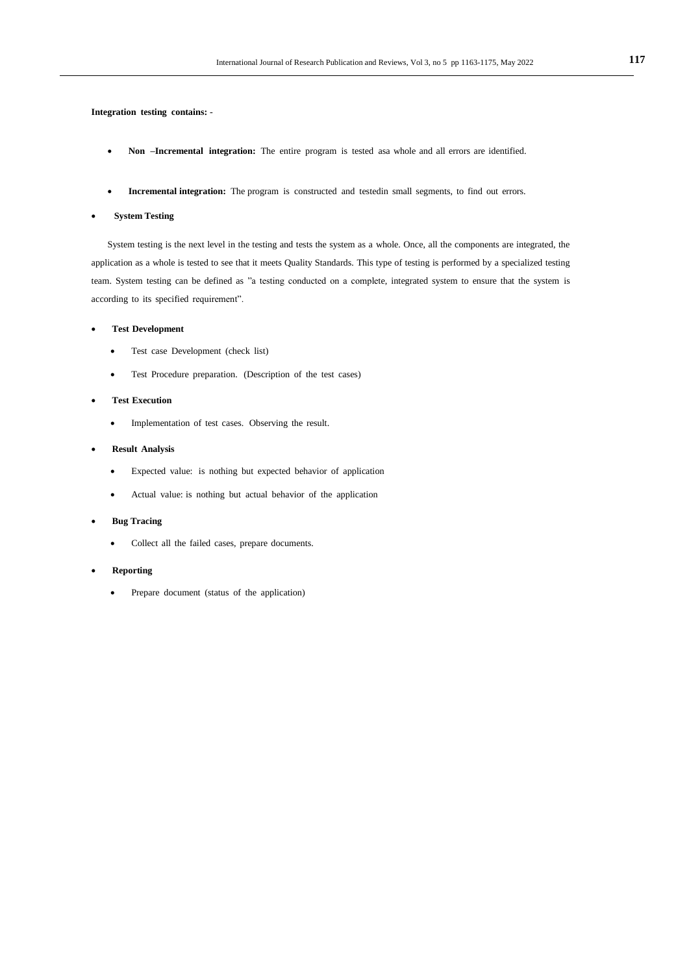**Integration testing contains:** -

- Non **–Incremental integration:** The entire program is tested asa whole and all errors are identified.
- **Incremental integration:** The program is constructed and testedin small segments, to find out errors.

#### **System Testing**

System testing is the next level in the testing and tests the system as a whole. Once, all the components are integrated, the application as a whole is tested to see that it meets Quality Standards. This type of testing is performed by a specialized testing team. System testing can be defined as "a testing conducted on a complete, integrated system to ensure that the system is according to its specified requirement".

### **Test Development**

- Test case Development (check list)
- Test Procedure preparation. (Description of the test cases)

### **Test Execution**

• Implementation of test cases. Observing the result.

# **Result Analysis**

- Expected value: is nothing but expected behavior of application
- Actual value: is nothing but actual behavior of the application

### **Bug Tracing**

- Collect all the failed cases, prepare documents.
- **Reporting**
	- Prepare document (status of the application)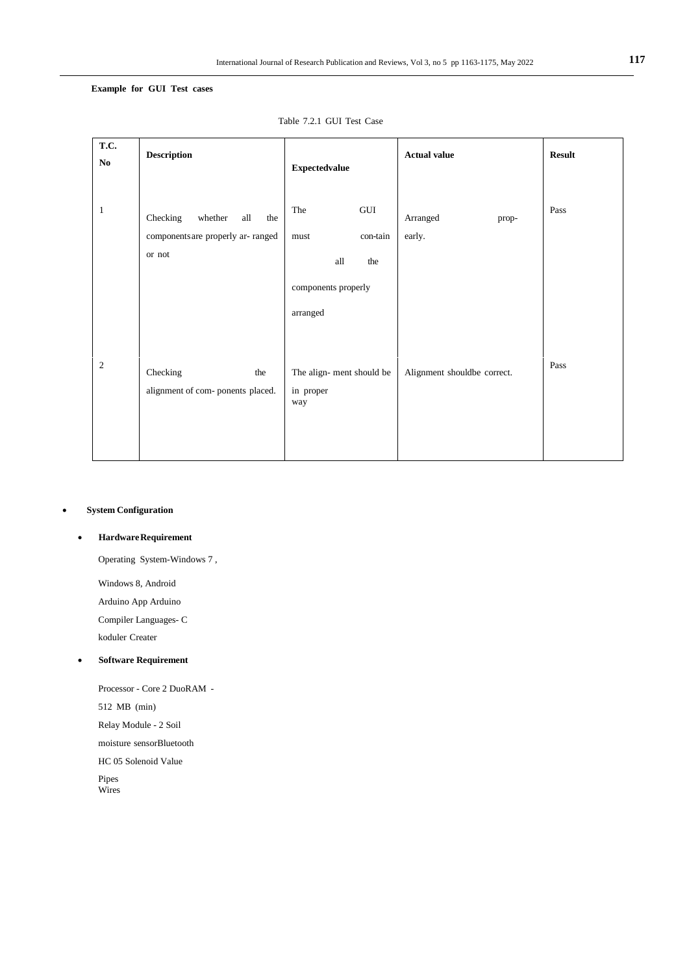# **Example for GUI Test cases**

| T.C.<br>No.  | <b>Description</b>                                                                | <b>Expectedvalue</b>                                                            | <b>Actual value</b>         | <b>Result</b> |
|--------------|-----------------------------------------------------------------------------------|---------------------------------------------------------------------------------|-----------------------------|---------------|
| $\mathbf{1}$ | Checking<br>whether<br>all<br>the<br>components are properly ar- ranged<br>or not | GUI<br>The<br>con-tain<br>must<br>the<br>all<br>components properly<br>arranged | Arranged<br>prop-<br>early. | Pass          |
| 2            | Checking<br>the<br>alignment of com- ponents placed.                              | The align-ment should be<br>in proper<br>way                                    | Alignment shouldbe correct. | Pass          |

Table 7.2.1 GUI Test Case

# **System Configuration**

# **HardwareRequirement**

Operating System-Windows 7 ,

Windows 8, Android

Arduino App Arduino

Compiler Languages- C

koduler Creater

# **Software Requirement**

Processor - Core 2 DuoRAM - 512 MB (min)

Relay Module - 2 Soil

moisture sensorBluetooth

HC 05 Solenoid Value

Pipes Wires